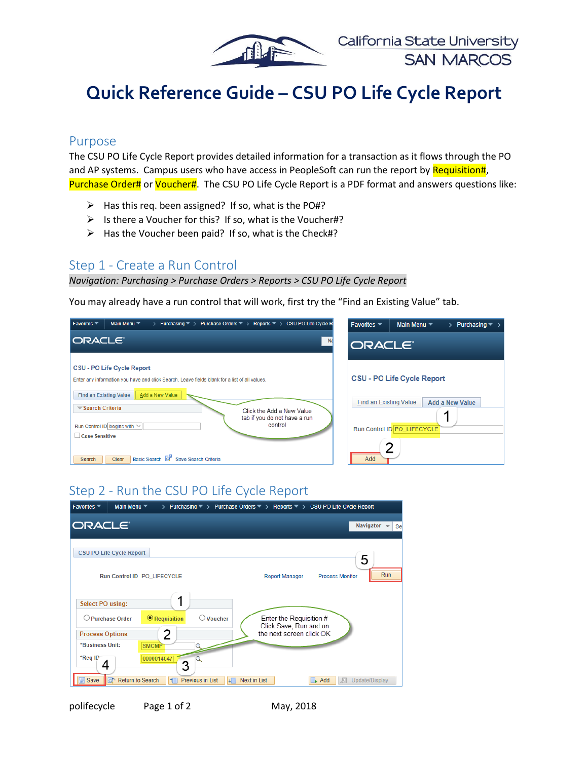

# **Quick Reference Guide – CSU PO Life Cycle Report**

#### Purpose

The CSU PO Life Cycle Report provides detailed information for a transaction as it flows through the PO and AP systems. Campus users who have access in PeopleSoft can run the report by Requisition#, Purchase Order# or Voucher#. The CSU PO Life Cycle Report is a PDF format and answers questions like:

- $\triangleright$  Has this req. been assigned? If so, what is the PO#?
- $\triangleright$  Is there a Voucher for this? If so, what is the Voucher#?
- $\triangleright$  Has the Voucher been paid? If so, what is the Check#?

### Step 1 - Create a Run Control

#### *Navigation: Purchasing > Purchase Orders > Reports > CSU PO Life Cycle Report*

You may already have a run control that will work, first try the "Find an Existing Value" tab.



# Step 2 - Run the CSU PO Life Cycle Report